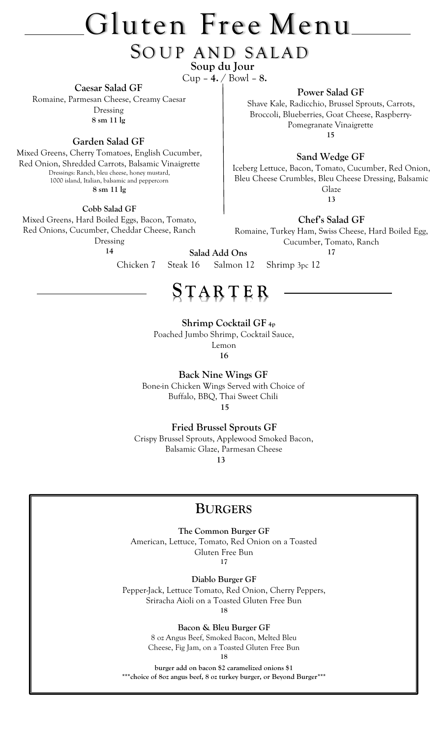# Gluten Free Menu

#### SOUP AND SALAD  **Soup du Jour**

Cup – **4.** / Bowl – **8.**

**Caesar Salad GF**

Romaine, Parmesan Cheese, Creamy Caesar Dressing **8 sm 11 lg**

**Garden Salad GF**

Mixed Greens, Cherry Tomatoes, English Cucumber, Red Onion, Shredded Carrots, Balsamic Vinaigrette Dressings: Ranch, bleu cheese, honey mustard, 1000 island, Italian, balsamic and peppercorn **8 sm 11 lg**

**Cobb Salad GF**

Mixed Greens, Hard Boiled Eggs, Bacon, Tomato, Red Onions, Cucumber, Cheddar Cheese, Ranch Dressing

**14**

**Salad Add Ons**

Pomegranate Vinaigrette **15**

**Power Salad GF** Shave Kale, Radicchio, Brussel Sprouts, Carrots, Broccoli, Blueberries, Goat Cheese, Raspberry-

**Sand Wedge GF**

Iceberg Lettuce, Bacon, Tomato, Cucumber, Red Onion, Bleu Cheese Crumbles, Bleu Cheese Dressing, Balsamic Glaze **13**

**Chef's Salad GF**

Romaine, Turkey Ham, Swiss Cheese, Hard Boiled Egg, Cucumber, Tomato, Ranch **17**

Chicken 7Steak 16Salmon 12Shrimp 3pc 12

## **S T AR T E R**

 **Shrimp Cocktail GF 4p**

Poached Jumbo Shrimp, Cocktail Sauce,

Lemon

**16**

**Back Nine Wings GF** Bone-in Chicken Wings Served with Choice of Buffalo, BBQ, Thai Sweet Chili  **15**

 **Fried Brussel Sprouts GF**

Crispy Brussel Sprouts, Applewood Smoked Bacon, Balsamic Glaze, Parmesan Cheese

 **13**

#### **BURGERS**

**The Common Burger GF**

American, Lettuce, Tomato, Red Onion on a Toasted Gluten Free Bun

**17**

**Diablo Burger GF**

Pepper-Jack, Lettuce Tomato, Red Onion, Cherry Peppers, Sriracha Aioli on a Toasted Gluten Free Bun

**18**

**Bacon & Bleu Burger GF**

8 oz Angus Beef, Smoked Bacon, Melted Bleu Cheese, Fig Jam, on a Toasted Gluten Free Bun **18**

**burger add on bacon \$2 caramelized onions \$1 \*\*\*choice of 8oz angus beef, 8 oz turkey burger, or Beyond Burger\*\*\***